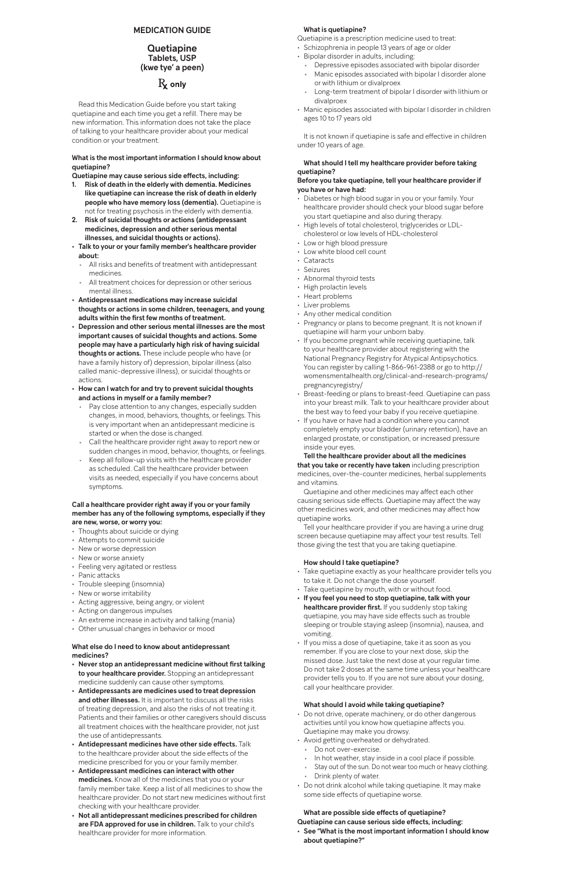# MEDICATION GUIDE

# Quetiapine Tablets, USP (kwe tye' a peen)

# $\mathrm{R}_{\mathrm{X}}$  only

Read this Medication Guide before you start taking quetiapine and each time you get a refill. There may be new information. This information does not take the place of talking to your healthcare provider about your medical condition or your treatment.

#### What is the most important information I should know about quetiapine?

Quetiapine may cause serious side effects, including:

- 1. Risk of death in the elderly with dementia. Medicines like quetiapine can increase the risk of death in elderly people who have memory loss (dementia). Quetiapine is not for treating psychosis in the elderly with dementia.
- 2. Risk of suicidal thoughts or actions (antidepressant medicines, depression and other serious mental illnesses, and suicidal thoughts or actions).
- Talk to your or your family member's healthcare provider about:
- All risks and benefits of treatment with antidepressant medicines.
- All treatment choices for depression or other serious mental illness.
- Antidepressant medications may increase suicidal thoughts or actions in some children, teenagers, and young adults within the first few months of treatment.
- • Depression and other serious mental illnesses are the most important causes of suicidal thoughts and actions. Some people may have a particularly high risk of having suicidal **thoughts or actions.** These include people who have (or have a family history of) depression, bipolar illness (also called manic-depressive illness), or suicidal thoughts or actions.
- How can I watch for and try to prevent suicidal thoughts and actions in myself or a family member?
- Pay close attention to any changes, especially sudden changes, in mood, behaviors, thoughts, or feelings. This is very important when an antidepressant medicine is started or when the dose is changed.
- $\circ$  Call the healthcare provider right away to report new or sudden changes in mood, behavior, thoughts, or feelings.
- $\circ$ Keep all follow-up visits with the healthcare provider as scheduled. Call the healthcare provider between visits as needed, especially if you have concerns about symptoms.

#### Call a healthcare provider right away if you or your family member has any of the following symptoms, especially if they are new, worse, or worry you:

- Thoughts about suicide or dying
- Attempts to commit suicide
- New or worse depression
- New or worse anxiety
- Feeling very agitated or restless
- Panic attacks
- Trouble sleeping (insomnia)
- New or worse irritability
- Acting aggressive, being angry, or violent
- Acting on dangerous impulses
- An extreme increase in activity and talking (mania)
- Other unusual changes in behavior or mood

What else do I need to know about antidepressant medicines?

- Never stop an antidepressant medicine without first talking to your healthcare provider. Stopping an antidepressant medicine suddenly can cause other symptoms.
- •Antidepressants are medicines used to treat depression and other illnesses. It is important to discuss all the risks of treating depression, and also the risks of not treating it. Patients and their families or other caregivers should discuss all treatment choices with the healthcare provider, not just the use of antidepressants.
- Antidepressant medicines have other side effects. Talk to the healthcare provider about the side effects of the medicine prescribed for you or your family member.
- Antidepressant medicines can interact with other medicines. Know all of the medicines that you or your family member take. Keep a list of all medicines to show the healthcare provider. Do not start new medicines without first checking with your healthcare provider.
- •Not all antidepressant medicines prescribed for children are FDA approved for use in children. Talk to your child's healthcare provider for more information.

#### What is quetiapine?

Quetiapine is a prescription medicine used to treat:

- Schizophrenia in people 13 years of age or older
- Bipolar disorder in adults, including:
	- Depressive episodes associated with bipolar disorder
	- Manic episodes associated with bipolar I disorder alone or with lithium or divalproex
	- Long-term treatment of bipolar I disorder with lithium or divalproex
- Manic episodes associated with bipolar I disorder in children ages 10 to 17 years old

It is not known if quetiapine is safe and effective in children under 10 years of age.

## What should I tell my healthcare provider before taking quetiapine?

Before you take quetiapine, tell your healthcare provider if you have or have had:

- Diabetes or high blood sugar in you or your family. Your healthcare provider should check your blood sugar before you start quetiapine and also during therapy.
- High levels of total cholesterol, triglycerides or LDLcholesterol or low levels of HDL-cholesterol
- Low or high blood pressure
- Low white blood cell count
- Cataracts
- Seizures
- Abnormal thyroid tests
- High prolactin levels
- Heart problems
- Liver problems
- Any other medical condition
- Pregnancy or plans to become pregnant. It is not known if quetiapine will harm your unborn baby.
- If you become pregnant while receiving quetiapine, talk to your healthcare provider about registering with the National Pregnancy Registry for Atypical Antipsychotics. You can register by calling 1-866-961-2388 or go to http:// womensmentalhealth.org/clinical-and-research-programs/ pregnancyregistry/
- Breast-feeding or plans to breast-feed. Quetiapine can pass into your breast milk. Talk to your healthcare provider about the best way to feed your baby if you receive quetiapine.
- If you have or have had a condition where you cannot completely empty your bladder (urinary retention), have an enlarged prostate, or constipation, or increased pressure inside your eyes.

Tell the healthcare provider about all the medicines that you take or recently have taken including prescription medicines, over-the-counter medicines, herbal supplements and vitamins.

Quetiapine and other medicines may affect each other causing serious side effects. Quetiapine may affect the way other medicines work, and other medicines may affect how quetiapine works.

Tell your healthcare provider if you are having a urine drug screen because quetiapine may affect your test results. Tell those giving the test that you are taking quetiapine.

#### How should I take quetiapine?

- Take quetiapine exactly as your healthcare provider tells you to take it. Do not change the dose yourself.
- Take quetiapine by mouth, with or without food.
- If you feel you need to stop quetiapine, talk with your healthcare provider first. If you suddenly stop taking quetiapine, you may have side effects such as trouble sleeping or trouble staying asleep (insomnia), nausea, and vomiting.

• If you miss a dose of quetiapine, take it as soon as you remember. If you are close to your next dose, skip the missed dose. Just take the next dose at your regular time. Do not take 2 doses at the same time unless your healthcare provider tells you to. If you are not sure about your dosing, call your healthcare provider.

#### What should I avoid while taking quetiapine?

- Do not drive, operate machinery, or do other dangerous activities until you know how quetiapine affects you. Quetiapine may make you drowsy.
- Avoid getting overheated or dehydrated.
	- Do not over-exercise.
	- In hot weather, stay inside in a cool place if possible.
	- Stay out of the sun. Do not wear too much or heavy clothing.
	- Drink plenty of water.
- Do not drink alcohol while taking quetiapine. It may make some side effects of quetiapine worse.

# What are possible side effects of quetiapine?

Quetiapine can cause serious side effects, including:

• See "What is the most important information I should know about quetiapine?"